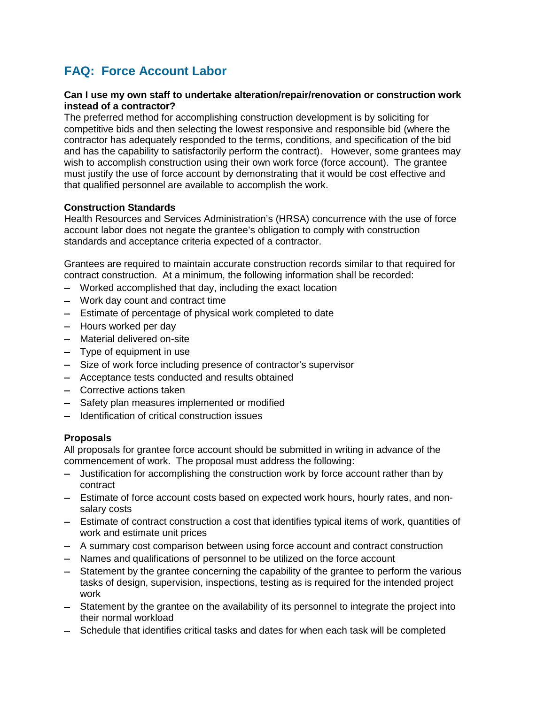# **FAQ: Force Account Labor**

## **Can I use my own staff to undertake alteration/repair/renovation or construction work instead of a contractor?**

The preferred method for accomplishing construction development is by soliciting for competitive bids and then selecting the lowest responsive and responsible bid (where the contractor has adequately responded to the terms, conditions, and specification of the bid and has the capability to satisfactorily perform the contract). However, some grantees may wish to accomplish construction using their own work force (force account). The grantee must justify the use of force account by demonstrating that it would be cost effective and that qualified personnel are available to accomplish the work.

## **Construction Standards**

Health Resources and Services Administration's (HRSA) concurrence with the use of force account labor does not negate the grantee's obligation to comply with construction standards and acceptance criteria expected of a contractor.

Grantees are required to maintain accurate construction records similar to that required for contract construction. At a minimum, the following information shall be recorded:

- − Worked accomplished that day, including the exact location
- − Work day count and contract time
- − Estimate of percentage of physical work completed to date
- − Hours worked per day
- − Material delivered on-site
- − Type of equipment in use
- − Size of work force including presence of contractor's supervisor
- − Acceptance tests conducted and results obtained
- − Corrective actions taken
- − Safety plan measures implemented or modified
- − Identification of critical construction issues

# **Proposals**

All proposals for grantee force account should be submitted in writing in advance of the commencement of work. The proposal must address the following:

- − Justification for accomplishing the construction work by force account rather than by contract
- − Estimate of force account costs based on expected work hours, hourly rates, and nonsalary costs
- − Estimate of contract construction a cost that identifies typical items of work, quantities of work and estimate unit prices
- − A summary cost comparison between using force account and contract construction
- − Names and qualifications of personnel to be utilized on the force account
- − Statement by the grantee concerning the capability of the grantee to perform the various tasks of design, supervision, inspections, testing as is required for the intended project work
- − Statement by the grantee on the availability of its personnel to integrate the project into their normal workload
- − Schedule that identifies critical tasks and dates for when each task will be completed